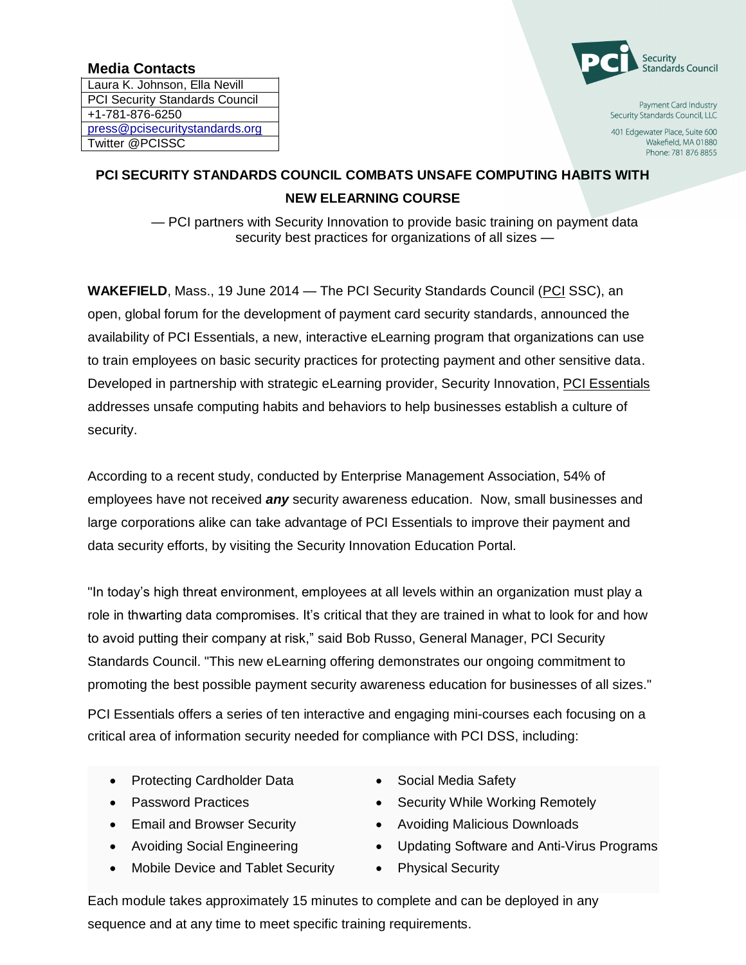## **Media Contacts**

Laura K. Johnson, Ella Nevill PCI Security Standards Council +1-781-876-6250 [press@pcisecuritystandards.org](mailto:press@pcisecuritystandards.org) Twitter @PCISSC



Payment Card Industry Security Standards Council, LLC

401 Edgewater Place, Suite 600 Wakefield, MA 01880 Phone: 781 876 8855

## **PCI SECURITY STANDARDS COUNCIL COMBATS UNSAFE COMPUTING HABITS WITH NEW ELEARNING COURSE**

— PCI partners with Security Innovation to provide basic training on payment data security best practices for organizations of all sizes —

**WAKEFIELD**, Mass., 19 June 2014 — The PCI Security Standards Council [\(PCI](https://www.pcisecuritystandards.org/) SSC), an open, global forum for the development of payment card security standards, announced the availability of PCI Essentials, a new, interactive eLearning program that organizations can use to train employees on basic security practices for protecting payment and other sensitive data. Developed in partnership with strategic eLearning provider, Security Innovation, [PCI Essentials](http://cts.businesswire.com/ct/CT?id=smartlink&url=https%3A%2F%2Fwww.securityinnovation.com%2Fproducts%2Fpci-training%2Fpci-essentials-awareness-training.html&esheet=50882888&newsitemid=20140610005407&lan=en-US&anchor=PCI+Essentials&index=1&md5=fa65881eb00fc05da0a52babce4b36a3) addresses unsafe computing habits and behaviors to help businesses establish a culture of security.

According to a recent study, conducted by Enterprise Management Association, 54% of employees have not received *any* security awareness education. Now, small businesses and large corporations alike can take advantage of PCI Essentials to improve their payment and data security efforts, by visiting the Security Innovation Education Portal.

"In today's high threat environment, employees at all levels within an organization must play a role in thwarting data compromises. It's critical that they are trained in what to look for and how to avoid putting their company at risk," said Bob Russo, General Manager, PCI Security Standards Council. "This new eLearning offering demonstrates our ongoing commitment to promoting the best possible payment security awareness education for businesses of all sizes."

PCI Essentials offers a series of ten interactive and engaging mini-courses each focusing on a critical area of information security needed for compliance with PCI DSS, including:

- Protecting Cardholder Data
- Password Practices
- **Email and Browser Security**
- Avoiding Social Engineering
- Mobile Device and Tablet Security
- Social Media Safety
- Security While Working Remotely
- Avoiding Malicious Downloads
- Updating Software and Anti-Virus Programs
- Physical Security

Each module takes approximately 15 minutes to complete and can be deployed in any sequence and at any time to meet specific training requirements.